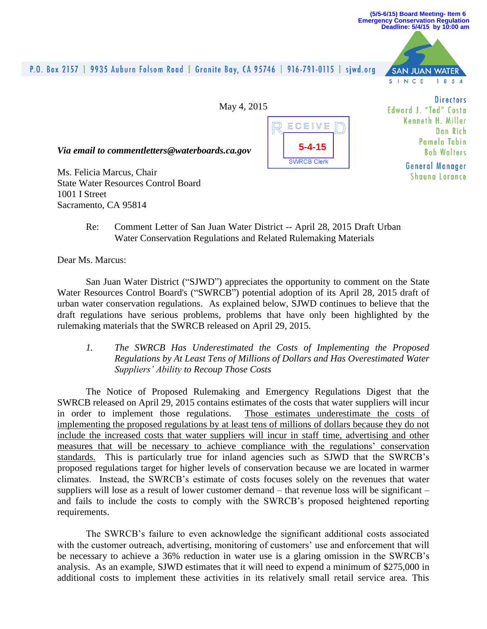#### **(5/5-6/15) Board Meeting- Item 6 Emergency Conservation Regulation Deadline: 5/4/15 by 10:00 am**

**SAN JUAN** 

S I N C E

# P.O. Box 2157 | 9935 Auburn Folsom Road | Granite Bay, CA 95746 | 916-791-0115 | sjwd.org

May 4, 2015



**Directors** Edward J. "Ted" Costa Kenneth H Miller Dan Rich Pamela Tobin **Bob Walters** 

**General Manager** Shauna Lorance

**WATFR** 

 $1.8.5A$ 

*Via email to commentletters@waterboards.ca.gov*

Ms. Felicia Marcus, Chair State Water Resources Control Board 1001 I Street Sacramento, CA 95814

> Re: Comment Letter of San Juan Water District -- April 28, 2015 Draft Urban Water Conservation Regulations and Related Rulemaking Materials

Dear Ms. Marcus:

San Juan Water District ("SJWD") appreciates the opportunity to comment on the State Water Resources Control Board's ("SWRCB") potential adoption of its April 28, 2015 draft of urban water conservation regulations. As explained below, SJWD continues to believe that the draft regulations have serious problems, problems that have only been highlighted by the rulemaking materials that the SWRCB released on April 29, 2015.

*1. The SWRCB Has Underestimated the Costs of Implementing the Proposed Regulations by At Least Tens of Millions of Dollars and Has Overestimated Water Suppliers' Ability to Recoup Those Costs*

The Notice of Proposed Rulemaking and Emergency Regulations Digest that the SWRCB released on April 29, 2015 contains estimates of the costs that water suppliers will incur in order to implement those regulations. Those estimates underestimate the costs of implementing the proposed regulations by at least tens of millions of dollars because they do not include the increased costs that water suppliers will incur in staff time, advertising and other measures that will be necessary to achieve compliance with the regulations' conservation standards. This is particularly true for inland agencies such as SJWD that the SWRCB's proposed regulations target for higher levels of conservation because we are located in warmer climates. Instead, the SWRCB's estimate of costs focuses solely on the revenues that water suppliers will lose as a result of lower customer demand – that revenue loss will be significant – and fails to include the costs to comply with the SWRCB's proposed heightened reporting requirements.

The SWRCB's failure to even acknowledge the significant additional costs associated with the customer outreach, advertising, monitoring of customers' use and enforcement that will be necessary to achieve a 36% reduction in water use is a glaring omission in the SWRCB's analysis. As an example, SJWD estimates that it will need to expend a minimum of \$275,000 in additional costs to implement these activities in its relatively small retail service area. This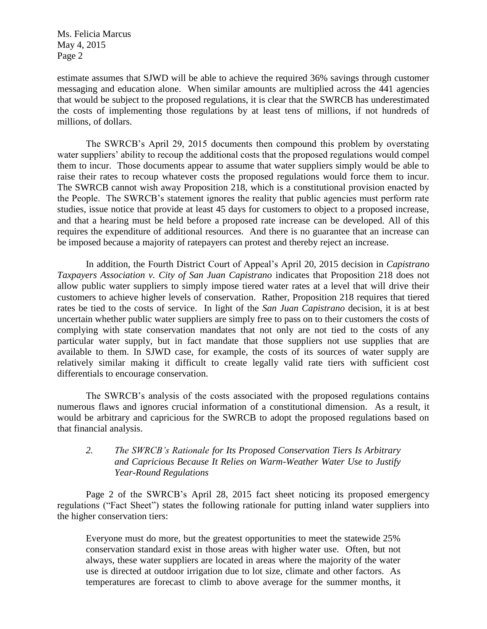Ms. Felicia Marcus May 4, 2015 Page 2

estimate assumes that SJWD will be able to achieve the required 36% savings through customer messaging and education alone. When similar amounts are multiplied across the 441 agencies that would be subject to the proposed regulations, it is clear that the SWRCB has underestimated the costs of implementing those regulations by at least tens of millions, if not hundreds of millions, of dollars.

The SWRCB's April 29, 2015 documents then compound this problem by overstating water suppliers' ability to recoup the additional costs that the proposed regulations would compel them to incur. Those documents appear to assume that water suppliers simply would be able to raise their rates to recoup whatever costs the proposed regulations would force them to incur. The SWRCB cannot wish away Proposition 218, which is a constitutional provision enacted by the People. The SWRCB's statement ignores the reality that public agencies must perform rate studies, issue notice that provide at least 45 days for customers to object to a proposed increase, and that a hearing must be held before a proposed rate increase can be developed. All of this requires the expenditure of additional resources. And there is no guarantee that an increase can be imposed because a majority of ratepayers can protest and thereby reject an increase.

In addition, the Fourth District Court of Appeal's April 20, 2015 decision in *Capistrano Taxpayers Association v. City of San Juan Capistrano* indicates that Proposition 218 does not allow public water suppliers to simply impose tiered water rates at a level that will drive their customers to achieve higher levels of conservation. Rather, Proposition 218 requires that tiered rates be tied to the costs of service. In light of the *San Juan Capistrano* decision, it is at best uncertain whether public water suppliers are simply free to pass on to their customers the costs of complying with state conservation mandates that not only are not tied to the costs of any particular water supply, but in fact mandate that those suppliers not use supplies that are available to them. In SJWD case, for example, the costs of its sources of water supply are relatively similar making it difficult to create legally valid rate tiers with sufficient cost differentials to encourage conservation.

The SWRCB's analysis of the costs associated with the proposed regulations contains numerous flaws and ignores crucial information of a constitutional dimension. As a result, it would be arbitrary and capricious for the SWRCB to adopt the proposed regulations based on that financial analysis.

## *2. The SWRCB's Rationale for Its Proposed Conservation Tiers Is Arbitrary and Capricious Because It Relies on Warm-Weather Water Use to Justify Year-Round Regulations*

Page 2 of the SWRCB's April 28, 2015 fact sheet noticing its proposed emergency regulations ("Fact Sheet") states the following rationale for putting inland water suppliers into the higher conservation tiers:

Everyone must do more, but the greatest opportunities to meet the statewide 25% conservation standard exist in those areas with higher water use. Often, but not always, these water suppliers are located in areas where the majority of the water use is directed at outdoor irrigation due to lot size, climate and other factors. As temperatures are forecast to climb to above average for the summer months, it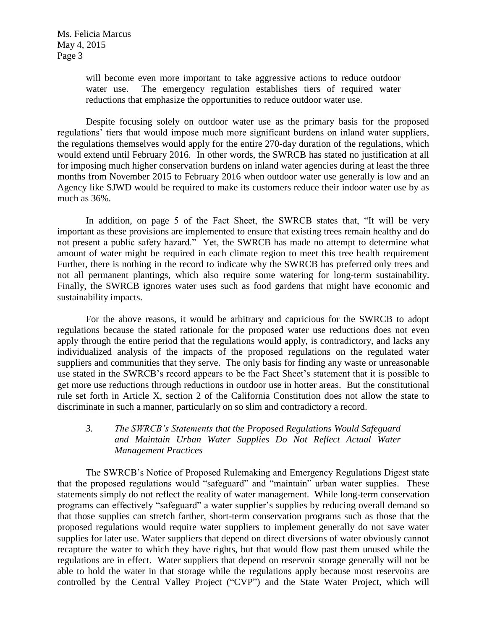will become even more important to take aggressive actions to reduce outdoor water use. The emergency regulation establishes tiers of required water reductions that emphasize the opportunities to reduce outdoor water use.

Despite focusing solely on outdoor water use as the primary basis for the proposed regulations' tiers that would impose much more significant burdens on inland water suppliers, the regulations themselves would apply for the entire 270-day duration of the regulations, which would extend until February 2016. In other words, the SWRCB has stated no justification at all for imposing much higher conservation burdens on inland water agencies during at least the three months from November 2015 to February 2016 when outdoor water use generally is low and an Agency like SJWD would be required to make its customers reduce their indoor water use by as much as 36%.

In addition, on page 5 of the Fact Sheet, the SWRCB states that, "It will be very important as these provisions are implemented to ensure that existing trees remain healthy and do not present a public safety hazard." Yet, the SWRCB has made no attempt to determine what amount of water might be required in each climate region to meet this tree health requirement Further, there is nothing in the record to indicate why the SWRCB has preferred only trees and not all permanent plantings, which also require some watering for long-term sustainability. Finally, the SWRCB ignores water uses such as food gardens that might have economic and sustainability impacts.

For the above reasons, it would be arbitrary and capricious for the SWRCB to adopt regulations because the stated rationale for the proposed water use reductions does not even apply through the entire period that the regulations would apply, is contradictory, and lacks any individualized analysis of the impacts of the proposed regulations on the regulated water suppliers and communities that they serve. The only basis for finding any waste or unreasonable use stated in the SWRCB's record appears to be the Fact Sheet's statement that it is possible to get more use reductions through reductions in outdoor use in hotter areas. But the constitutional rule set forth in Article X, section 2 of the California Constitution does not allow the state to discriminate in such a manner, particularly on so slim and contradictory a record.

# *3. The SWRCB's Statements that the Proposed Regulations Would Safeguard and Maintain Urban Water Supplies Do Not Reflect Actual Water Management Practices*

The SWRCB's Notice of Proposed Rulemaking and Emergency Regulations Digest state that the proposed regulations would "safeguard" and "maintain" urban water supplies. These statements simply do not reflect the reality of water management. While long-term conservation programs can effectively "safeguard" a water supplier's supplies by reducing overall demand so that those supplies can stretch farther, short-term conservation programs such as those that the proposed regulations would require water suppliers to implement generally do not save water supplies for later use. Water suppliers that depend on direct diversions of water obviously cannot recapture the water to which they have rights, but that would flow past them unused while the regulations are in effect. Water suppliers that depend on reservoir storage generally will not be able to hold the water in that storage while the regulations apply because most reservoirs are controlled by the Central Valley Project ("CVP") and the State Water Project, which will